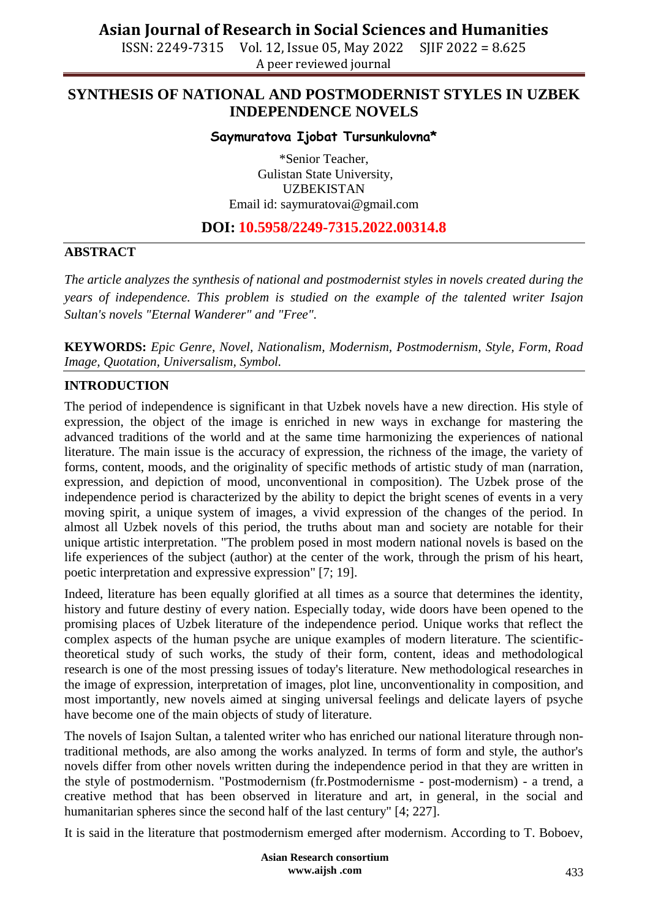ISSN: 2249-7315 Vol. 12, Issue 05, May 2022 SJIF 2022 = 8.625 A peer reviewed journal

## **SYNTHESIS OF NATIONAL AND POSTMODERNIST STYLES IN UZBEK INDEPENDENCE NOVELS**

#### **Saymuratova Ijobat Tursunkulovna\***

\*Senior Teacher, Gulistan State University, UZBEKISTAN Email id: [saymuratovai@gmail.com](mailto:saymuratovai@gmail.com)

### **DOI: 10.5958/2249-7315.2022.00314.8**

#### **ABSTRACT**

*The article analyzes the synthesis of national and postmodernist styles in novels created during the years of independence. This problem is studied on the example of the talented writer Isajon Sultan's novels "Eternal Wanderer" and "Free".*

**KEYWORDS:** *Epic Genre, Novel, Nationalism, Modernism, Postmodernism, Style, Form, Road Image, Quotation, Universalism, Symbol.*

#### **INTRODUCTION**

The period of independence is significant in that Uzbek novels have a new direction. His style of expression, the object of the image is enriched in new ways in exchange for mastering the advanced traditions of the world and at the same time harmonizing the experiences of national literature. The main issue is the accuracy of expression, the richness of the image, the variety of forms, content, moods, and the originality of specific methods of artistic study of man (narration, expression, and depiction of mood, unconventional in composition). The Uzbek prose of the independence period is characterized by the ability to depict the bright scenes of events in a very moving spirit, a unique system of images, a vivid expression of the changes of the period. In almost all Uzbek novels of this period, the truths about man and society are notable for their unique artistic interpretation. "The problem posed in most modern national novels is based on the life experiences of the subject (author) at the center of the work, through the prism of his heart, poetic interpretation and expressive expression" [7; 19].

Indeed, literature has been equally glorified at all times as a source that determines the identity, history and future destiny of every nation. Especially today, wide doors have been opened to the promising places of Uzbek literature of the independence period. Unique works that reflect the complex aspects of the human psyche are unique examples of modern literature. The scientifictheoretical study of such works, the study of their form, content, ideas and methodological research is one of the most pressing issues of today's literature. New methodological researches in the image of expression, interpretation of images, plot line, unconventionality in composition, and most importantly, new novels aimed at singing universal feelings and delicate layers of psyche have become one of the main objects of study of literature.

The novels of Isajon Sultan, a talented writer who has enriched our national literature through nontraditional methods, are also among the works analyzed. In terms of form and style, the author's novels differ from other novels written during the independence period in that they are written in the style of postmodernism. "Postmodernism (fr.Postmodernisme - post-modernism) - a trend, a creative method that has been observed in literature and art, in general, in the social and humanitarian spheres since the second half of the last century" [4; 227].

It is said in the literature that postmodernism emerged after modernism. According to T. Boboev,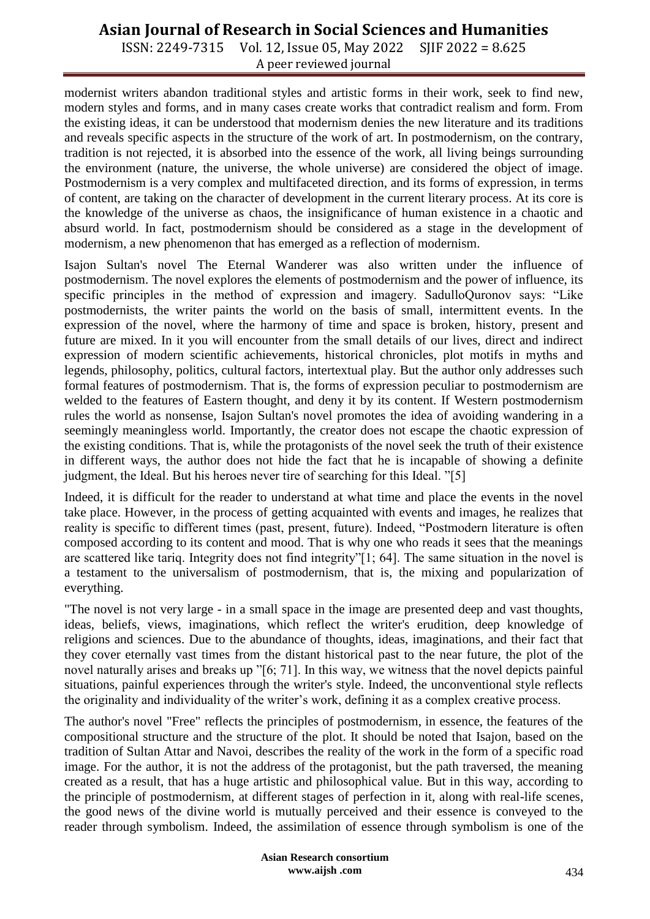## **Asian Journal of Research in Social Sciences and Humanities**

ISSN: 2249-7315 Vol. 12, Issue 05, May 2022 SJIF 2022 = 8.625 A peer reviewed journal

modernist writers abandon traditional styles and artistic forms in their work, seek to find new, modern styles and forms, and in many cases create works that contradict realism and form. From the existing ideas, it can be understood that modernism denies the new literature and its traditions and reveals specific aspects in the structure of the work of art. In postmodernism, on the contrary, tradition is not rejected, it is absorbed into the essence of the work, all living beings surrounding the environment (nature, the universe, the whole universe) are considered the object of image. Postmodernism is a very complex and multifaceted direction, and its forms of expression, in terms of content, are taking on the character of development in the current literary process. At its core is the knowledge of the universe as chaos, the insignificance of human existence in a chaotic and absurd world. In fact, postmodernism should be considered as a stage in the development of modernism, a new phenomenon that has emerged as a reflection of modernism.

Isajon Sultan's novel The Eternal Wanderer was also written under the influence of postmodernism. The novel explores the elements of postmodernism and the power of influence, its specific principles in the method of expression and imagery. SadulloQuronov says: "Like postmodernists, the writer paints the world on the basis of small, intermittent events. In the expression of the novel, where the harmony of time and space is broken, history, present and future are mixed. In it you will encounter from the small details of our lives, direct and indirect expression of modern scientific achievements, historical chronicles, plot motifs in myths and legends, philosophy, politics, cultural factors, intertextual play. But the author only addresses such formal features of postmodernism. That is, the forms of expression peculiar to postmodernism are welded to the features of Eastern thought, and deny it by its content. If Western postmodernism rules the world as nonsense, Isajon Sultan's novel promotes the idea of avoiding wandering in a seemingly meaningless world. Importantly, the creator does not escape the chaotic expression of the existing conditions. That is, while the protagonists of the novel seek the truth of their existence in different ways, the author does not hide the fact that he is incapable of showing a definite judgment, the Ideal. But his heroes never tire of searching for this Ideal. "[5]

Indeed, it is difficult for the reader to understand at what time and place the events in the novel take place. However, in the process of getting acquainted with events and images, he realizes that reality is specific to different times (past, present, future). Indeed, "Postmodern literature is often composed according to its content and mood. That is why one who reads it sees that the meanings are scattered like tariq. Integrity does not find integrity"[1; 64]. The same situation in the novel is a testament to the universalism of postmodernism, that is, the mixing and popularization of everything.

"The novel is not very large - in a small space in the image are presented deep and vast thoughts, ideas, beliefs, views, imaginations, which reflect the writer's erudition, deep knowledge of religions and sciences. Due to the abundance of thoughts, ideas, imaginations, and their fact that they cover eternally vast times from the distant historical past to the near future, the plot of the novel naturally arises and breaks up "[6; 71]. In this way, we witness that the novel depicts painful situations, painful experiences through the writer's style. Indeed, the unconventional style reflects the originality and individuality of the writer's work, defining it as a complex creative process.

The author's novel "Free" reflects the principles of postmodernism, in essence, the features of the compositional structure and the structure of the plot. It should be noted that Isajon, based on the tradition of Sultan Attar and Navoi, describes the reality of the work in the form of a specific road image. For the author, it is not the address of the protagonist, but the path traversed, the meaning created as a result, that has a huge artistic and philosophical value. But in this way, according to the principle of postmodernism, at different stages of perfection in it, along with real-life scenes, the good news of the divine world is mutually perceived and their essence is conveyed to the reader through symbolism. Indeed, the assimilation of essence through symbolism is one of the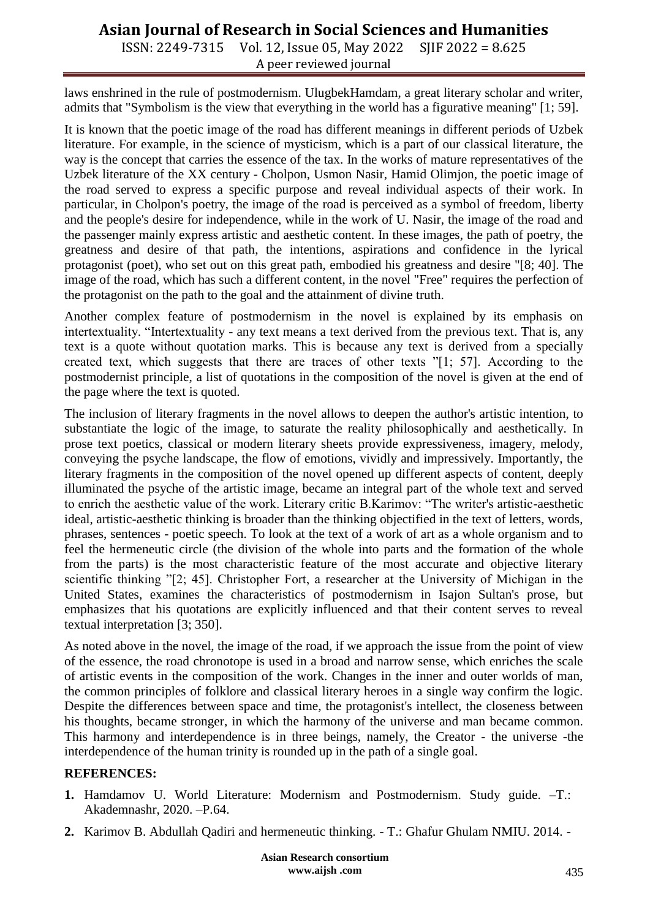# **Asian Journal of Research in Social Sciences and Humanities**

ISSN: 2249-7315 Vol. 12, Issue 05, May 2022 SJIF 2022 = 8.625 A peer reviewed journal

laws enshrined in the rule of postmodernism. UlugbekHamdam, a great literary scholar and writer, admits that "Symbolism is the view that everything in the world has a figurative meaning" [1; 59].

It is known that the poetic image of the road has different meanings in different periods of Uzbek literature. For example, in the science of mysticism, which is a part of our classical literature, the way is the concept that carries the essence of the tax. In the works of mature representatives of the Uzbek literature of the XX century - Cholpon, Usmon Nasir, Hamid Olimjon, the poetic image of the road served to express a specific purpose and reveal individual aspects of their work. In particular, in Cholpon's poetry, the image of the road is perceived as a symbol of freedom, liberty and the people's desire for independence, while in the work of U. Nasir, the image of the road and the passenger mainly express artistic and aesthetic content. In these images, the path of poetry, the greatness and desire of that path, the intentions, aspirations and confidence in the lyrical protagonist (poet), who set out on this great path, embodied his greatness and desire "[8; 40]. The image of the road, which has such a different content, in the novel "Free" requires the perfection of the protagonist on the path to the goal and the attainment of divine truth.

Another complex feature of postmodernism in the novel is explained by its emphasis on intertextuality. "Intertextuality - any text means a text derived from the previous text. That is, any text is a quote without quotation marks. This is because any text is derived from a specially created text, which suggests that there are traces of other texts "[1; 57]. According to the postmodernist principle, a list of quotations in the composition of the novel is given at the end of the page where the text is quoted.

The inclusion of literary fragments in the novel allows to deepen the author's artistic intention, to substantiate the logic of the image, to saturate the reality philosophically and aesthetically. In prose text poetics, classical or modern literary sheets provide expressiveness, imagery, melody, conveying the psyche landscape, the flow of emotions, vividly and impressively. Importantly, the literary fragments in the composition of the novel opened up different aspects of content, deeply illuminated the psyche of the artistic image, became an integral part of the whole text and served to enrich the aesthetic value of the work. Literary critic B.Karimov: "The writer's artistic-aesthetic ideal, artistic-aesthetic thinking is broader than the thinking objectified in the text of letters, words, phrases, sentences - poetic speech. To look at the text of a work of art as a whole organism and to feel the hermeneutic circle (the division of the whole into parts and the formation of the whole from the parts) is the most characteristic feature of the most accurate and objective literary scientific thinking "[2; 45]. Christopher Fort, a researcher at the University of Michigan in the United States, examines the characteristics of postmodernism in Isajon Sultan's prose, but emphasizes that his quotations are explicitly influenced and that their content serves to reveal textual interpretation [3; 350].

As noted above in the novel, the image of the road, if we approach the issue from the point of view of the essence, the road chronotope is used in a broad and narrow sense, which enriches the scale of artistic events in the composition of the work. Changes in the inner and outer worlds of man, the common principles of folklore and classical literary heroes in a single way confirm the logic. Despite the differences between space and time, the protagonist's intellect, the closeness between his thoughts, became stronger, in which the harmony of the universe and man became common. This harmony and interdependence is in three beings, namely, the Creator - the universe -the interdependence of the human trinity is rounded up in the path of a single goal.

#### **REFERENCES:**

- **1.** Hamdamov U. World Literature: Modernism and Postmodernism. Study guide. –T.: Akademnashr, 2020. –P.64.
- **2.** Karimov B. Abdullah Qadiri and hermeneutic thinking. T.: Ghafur Ghulam NMIU. 2014. -